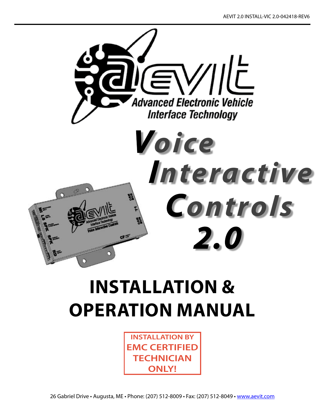

# **INSTALLATION & Operation MANUAL**

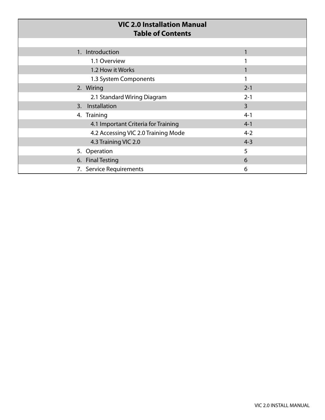| <b>VIC 2.0 Installation Manual</b><br><b>Table of Contents</b> |                |
|----------------------------------------------------------------|----------------|
|                                                                |                |
| 1. Introduction                                                | 1              |
| 1.1 Overview                                                   |                |
| 1.2 How it Works                                               | 1              |
| 1.3 System Components                                          |                |
| 2. Wiring                                                      | $2 - 1$        |
| 2.1 Standard Wiring Diagram                                    | $2 - 1$        |
| Installation<br>3.                                             | $\overline{3}$ |
| 4. Training                                                    | $4 - 1$        |
| 4.1 Important Criteria for Training                            | $4 - 1$        |
| 4.2 Accessing VIC 2.0 Training Mode                            | $4 - 2$        |
| 4.3 Training VIC 2.0                                           | $4 - 3$        |
| 5. Operation                                                   | 5              |
| 6. Final Testing                                               | 6              |
| <b>Service Requirements</b><br>7.                              | 6              |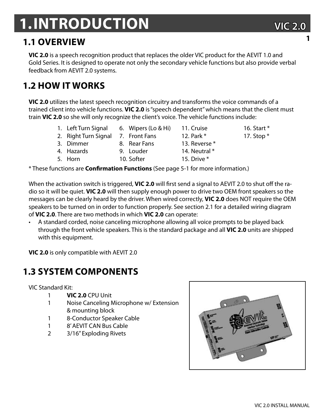## **1.Introduction**

### **1.1 Overview**

**VIC 2.0** is a speech recognition product that replaces the older VIC product for the AEVIT 1.0 and Gold Series. It is designed to operate not only the secondary vehicle functions but also provide verbal feedback from AEVIT 2.0 systems.

## **1.2 HOW IT WORKS**

**VIC 2.0** utilizes the latest speech recognition circuitry and transforms the voice commands of a trained client into vehicle functions. **VIC 2.0** is "speech dependent" which means that the client must train **VIC 2.0** so she will only recognize the client's voice. The vehicle functions include:

6. Wipers (Lo & Hi)

8. Rear Fans

- 1. Left Turn Signal
- 2. Right Turn Signal 7. Front Fans
- 3. Dimmer

5. Horn

- 4. Hazards
	- -
- 9. Louder 10. Softer
- -
- - 14. Neutral \*
	- 15. Drive \*
- 17. Stop \*
- \* These functions are **Confirmation Functions** (See page 5-1 for more information.)

When the activation switch is triggered, **VIC 2.0** will first send a signal to AEVIT 2.0 to shut off the radio so it will be quiet. **VIC 2.0** will then supply enough power to drive two OEM front speakers so the messages can be clearly heard by the driver. When wired correctly, **VIC 2.0** does NOT require the OEM speakers to be turned on in order to function properly. See section 2.1 for a detailed wiring diagram of **VIC 2.0**. There are two methods in which **VIC 2.0** can operate:

• A standard corded, noise canceling microphone allowing all voice prompts to be played back through the front vehicle speakers. This is the standard package and all **VIC 2.0** units are shipped with this equipment.

**VIC 2.0** is only compatible with AEVIT 2.0

### **1.3 System components**

VIC Standard Kit:

- 1 **VIC 2.0** CPU Unit
- 1 Noise Canceling Microphone w/ Extension & mounting block
- 1 8-Conductor Speaker Cable
- 1 8' AEVIT CAN Bus Cable
- 2 3/16" Exploding Rivets



**1**

12. Park \* 13. Reverse \*

11. Cruise

- 
- 16. Start \*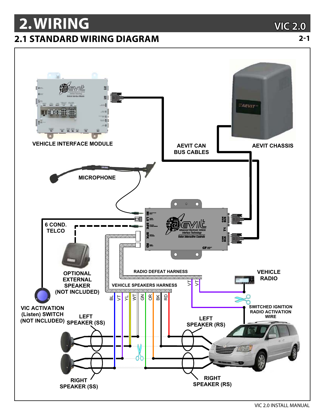## 2. WIRING **2.1 STANDARD WIRING DIAGRAM**

**VIC 2.0** 

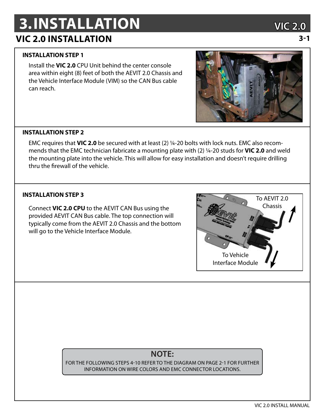# **3.INSTALLATION VIC 2.0**

### **VIC 2.0 Installation 3-1**

### **INSTALLATION STEP 1**

Install the **VIC 2.0** CPU Unit behind the center console area within eight (8) feet of both the AEVIT 2.0 Chassis and the Vehicle Interface Module (VIM) so the CAN Bus cable can reach.

### **INSTALLATION STEP 2**

EMC requires that **VIC 2.0** be secured with at least (2) ¼-20 bolts with lock nuts. EMC also recommends that the EMC technician fabricate a mounting plate with (2) ¼-20 studs for **VIC 2.0** and weld the mounting plate into the vehicle. This will allow for easy installation and doesn't require drilling thru the firewall of the vehicle.

Connect **VIC 2.0 CPU** to the AEVIT CAN Bus using the provided AEVIT CAN Bus cable. The top connection will typically come from the AEVIT 2.0 Chassis and the bottom will go to the Vehicle Interface Module.



### **NOTE:**

For the following steps 4-10 refer to the diagram on page 2-1 for further information on wire colors and EMC connector locations.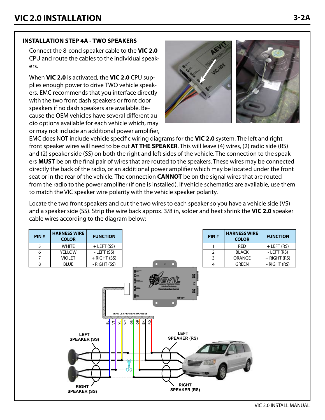### **INSTALLATION STEP 4A - TWO SPEAKERS**

Connect the 8-cond speaker cable to the VIC 2.0 CPU and route the cables to the individual speakers.

When VIC 2.0 is activated, the VIC 2.0 CPU supplies enough power to drive TWO vehicle speakers. EMC recommends that you interface directly with the two front dash speakers or front door speakers if no dash speakers are available. Because the OEM vehicles have several different audio options available for each vehicle which, may or may not include an additional power amplifier,



EMC does NOT include vehicle specific wiring diagrams for the VIC 2.0 system. The left and right front speaker wires will need to be cut AT THE SPEAKER. This will leave (4) wires, (2) radio side (RS) and (2) speaker side (SS) on both the right and left sides of the vehicle. The connection to the speakers **MUST** be on the final pair of wires that are routed to the speakers. These wires may be connected directly the back of the radio, or an additional power amplifier which may be located under the front seat or in the rear of the vehicle. The connection **CANNOT** be on the signal wires that are routed from the radio to the power amplifier (if one is installed). If vehicle schematics are available, use them to match the VIC speaker wire polarity with the vehicle speaker polarity.

Locate the two front speakers and cut the two wires to each speaker so you have a vehicle side (VS) and a speaker side (SS). Strip the wire back approx. 3/8 in, solder and heat shrink the VIC 2.0 speaker cable wires according to the diagram below:

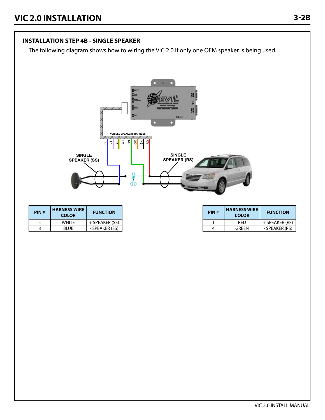### **INSTALLATION STEP 4B - SINGLE SPEAKER**

The following diagram shows how to wiring the VIC 2.0 if only one OEM speaker is being used.

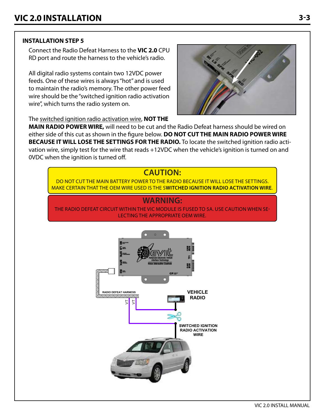### **INSTALLATION STEP 5**

Connect the Radio Defeat Harness to the VIC 2.0 CPU RD port and route the harness to the vehicle's radio.

All digital radio systems contain two 12VDC power feeds. One of these wires is always "hot" and is used to maintain the radio's memory. The other power feed wire should be the "switched ignition radio activation wire", which turns the radio system on.



The switched ignition radio activation wire, NOT THE

MAIN RADIO POWER WIRE, will need to be cut and the Radio Defeat harness should be wired on either side of this cut as shown in the figure below. DO NOT CUT THE MAIN RADIO POWER WIRE BECAUSE IT WILL LOSE THE SETTINGS FOR THE RADIO. To locate the switched ignition radio activation wire, simply test for the wire that reads +12VDC when the vehicle's ignition is turned on and OVDC when the ignition is turned off.

### **CAUTION:**

DO NOT CUT THE MAIN BATTERY POWER TO THE RADIO BECAUSE IT WILL LOSE THE SETTINGS. MAKE CERTAIN THAT THE OEM WIRE USED IS THE SWITCHED IGNITION RADIO ACTIVATION WIRE.

### **WARNING:**

THE RADIO DEFEAT CIRCUIT WITHIN THE VIC MODULE IS FUSED TO 5A. USE CAUTION WHEN SE-**LECTING THE APPROPRIATE OEM WIRE.** 

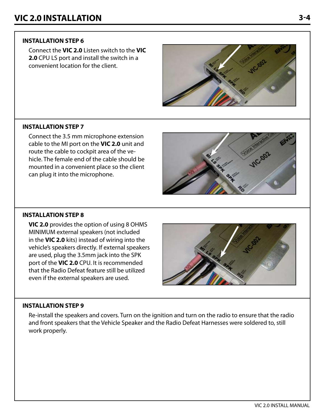### **INSTALLATION STEP 6**

Connect the **VIC 2.0** Listen switch to the **VIC 2.0** CPU LS port and install the switch in a convenient location for the client.



#### **INSTALLATION STEP 7**

Connect the 3.5 mm microphone extension cable to the MI port on the **VIC 2.0** unit and route the cable to cockpit area of the vehicle. The female end of the cable should be mounted in a convenient place so the client can plug it into the microphone.

#### **INSTALLATION STEP 8**

**VIC 2.0** provides the option of using 8 OHMS MINIMUM external speakers (not included in the **VIC 2.0** kits) instead of wiring into the vehicle's speakers directly. If external speakers are used, plug the 3.5mm jack into the SPK port of the **VIC 2.0** CPU. It is recommended that the Radio Defeat feature still be utilized even if the external speakers are used.

### **INSTALLATION STEP 9**

Re-install the speakers and covers. Turn on the ignition and turn on the radio to ensure that the radio and front speakers that the Vehicle Speaker and the Radio Defeat Harnesses were soldered to, still work properly.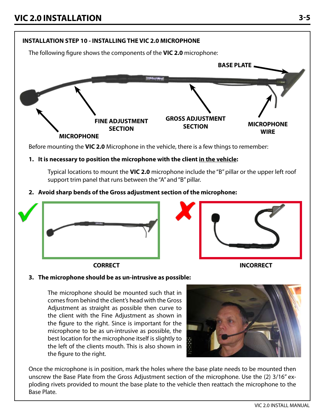

Once the microphone is in position, mark the holes where the base plate needs to be mounted then unscrew the Base Plate from the Gross Adjustment section of the microphone. Use the (2) 3/16" exploding rivets provided to mount the base plate to the vehicle then reattach the microphone to the Base Plate.

best location for the microphone itself is slightly to the left of the clients mouth. This is also shown in

the figure to the right.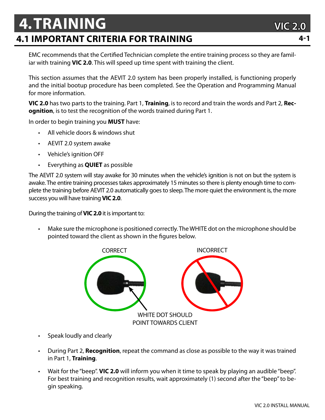## **4.Training 4.1 important criteria for training 4-1**

EMC recommends that the Certified Technician complete the entire training process so they are familiar with training **VIC 2.0**. This will speed up time spent with training the client.

This section assumes that the AEVIT 2.0 system has been properly installed, is functioning properly and the initial bootup procedure has been completed. See the Operation and Programming Manual for more information.

**VIC 2.0** has two parts to the training. Part 1, **Training**, is to record and train the words and Part 2, **Recognition**, is to test the recognition of the words trained during Part 1.

In order to begin training you **MUST** have:

- All vehicle doors & windows shut
- AEVIT 2.0 system awake
- Vehicle's ignition OFF
- Everything as **QUIET** as possible

The AEVIT 2.0 system will stay awake for 30 minutes when the vehicle's ignition is not on but the system is awake. The entire training processes takes approximately 15 minutes so there is plenty enough time to complete the training before AEVIT 2.0 automatically goes to sleep. The more quiet the environment is, the more success you will have training **VIC 2.0**.

During the training of **VIC 2.0** it is important to:

• Make sure the microphone is positioned correctly. The WHITE dot on the microphone should be pointed toward the client as shown in the figures below.



- Speak loudly and clearly
- During Part 2, **Recognition**, repeat the command as close as possible to the way it was trained in Part 1, **Training**.
- Wait for the "beep". **VIC 2.0** will inform you when it time to speak by playing an audible "beep". For best training and recognition results, wait approximately (1) second after the "beep" to begin speaking.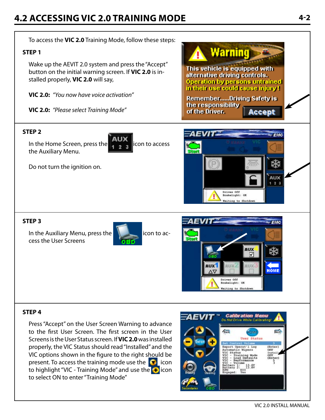### **4.2 accessing vic 2.0 training mode 4-2**

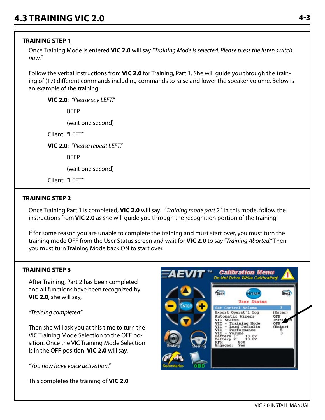### **TRAINING STEP 1**

Once Training Mode is entered **VIC 2.0** will say *"Training Mode is selected. Please press the listen switch now."*

Follow the verbal instructions from **VIC 2.0** for Training, Part 1. She will guide you through the training of (17) different commands including commands to raise and lower the speaker volume. Below is an example of the training:

**VIC 2.0**: *"Please say LEFT."*

BEEP

(wait one second)

Client: "LEFT"

**VIC 2.0**: *"Please repeat LEFT."*

BEEP

(wait one second)

Client: "I FFT"

#### **TRAINING STEP 2**

Once Training Part 1 is completed, **VIC 2.0** will say: *"Training mode part 2."* In this mode, follow the instructions from **VIC 2.0** as she will guide you through the recognition portion of the training.

If for some reason you are unable to complete the training and must start over, you must turn the training mode OFF from the User Status screen and wait for **VIC 2.0** to say *"Training Aborted."* Then you must turn Training Mode back ON to start over.

### **TRAINING STEP 3**

After Training, Part 2 has been completed and all functions have been recognized by **VIC 2.0**, she will say,

#### *"Training completed"*

Then she will ask you at this time to turn the VIC Training Mode Selection to the OFF position. Once the VIC Training Mode Selection is in the OFF position, **VIC 2.0** will say,

*"You now have voice activation."*

This completes the training of **VIC 2.0**

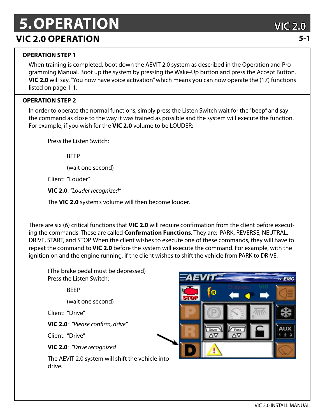# **5.Operation VIC 2.0**

### **VIC 2.0 operation 5-1**

### **OPERATION STEP 1**

When training is completed, boot down the AEVIT 2.0 system as described in the Operation and Programming Manual. Boot up the system by pressing the Wake-Up button and press the Accept Button. **VIC 2.0** will say, "You now have voice activation" which means you can now operate the (17) functions listed on page 1-1.

### **OPERATION STEP 2**

In order to operate the normal functions, simply press the Listen Switch wait for the "beep" and say the command as close to the way it was trained as possible and the system will execute the function. For example, if you wish for the **VIC 2.0** volume to be LOUDER:

Press the Listen Switch:

**RFFP** 

(wait one second)

Client: "Louder"

**VIC 2.0**: *"Louder recognized"*

The **VIC 2.0** system's volume will then become louder.

There are six (6) critical functions that **VIC 2.0** will require confirmation from the client before executing the commands. These are called **Confirmation Functions**. They are: PARK, REVERSE, NEUTRAL, DRIVE, START, and STOP. When the client wishes to execute one of these commands, they will have to repeat the command to **VIC 2.0** before the system will execute the command. For example, with the ignition on and the engine running, if the client wishes to shift the vehicle from PARK to DRIVE:

(The brake pedal must be depressed) Press the Listen Switch:

BEEP

(wait one second)

Client: "Drive"

**VIC 2.0**: *"Please confirm, drive"*

Client: "Drive"

**VIC 2.0**: *"Drive recognized"*

The AEVIT 2.0 system will shift the vehicle into drive.

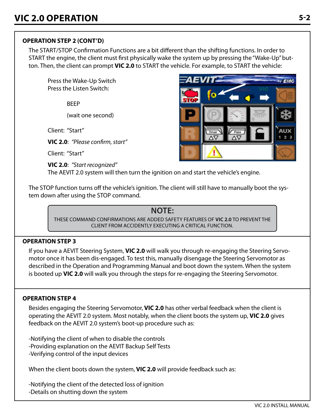### **OPERATION STEP 2 (cont'd)**

The START/STOP Confirmation Functions are a bit different than the shifting functions. In order to START the engine, the client must first physically wake the system up by pressing the "Wake-Up" button. Then, the client can prompt **VIC 2.0** to START the vehicle. For example, to START the vehicle:

Press the Wake-Up Switch Press the Listen Switch:

BEEP

(wait one second)

Client: "Start"

**VIC 2.0**: *"Please confirm, start"*

Client: "Start"

**VIC 2.0**: *"Start recognized"* The AEVIT 2.0 system will then turn the ignition on and start the vehicle's engine.



The STOP function turns off the vehicle's ignition. The client will still have to manually boot the system down after using the STOP command.

### **NOTE:**

These command confirmations are added safety features of **vic 2.0** to prevent the client from accidently executing a critical function.

### **OPERATION STEP 3**

If you have a AEVIT Steering System, **VIC 2.0** will walk you through re-engaging the Steering Servomotor once it has been dis-engaged. To test this, manually disengage the Steering Servomotor as described in the Operation and Programming Manual and boot down the system. When the system is booted up **VIC 2.0** will walk you through the steps for re-engaging the Steering Servomotor.

### **OPERATION STEP 4**

Besides engaging the Steering Servomotor, **VIC 2.0** has other verbal feedback when the client is operating the AEVIT 2.0 system. Most notably, when the client boots the system up, **VIC 2.0** gives feedback on the AEVIT 2.0 system's boot-up procedure such as:

-Notifying the client of when to disable the controls -Providing explanation on the AEVIT Backup Self Tests -Verifying control of the input devices

When the client boots down the system, **VIC 2.0** will provide feedback such as:

-Notifying the client of the detected loss of ignition -Details on shutting down the system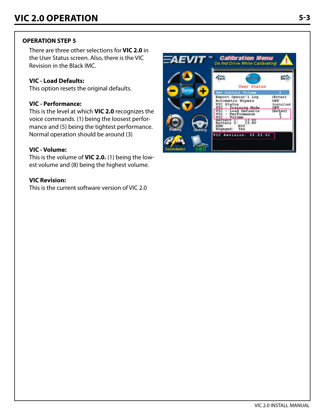### **OPERATION STEP 5**

There are three other selections for **VIC 2.0** in the User Status screen. Also, there is the VIC Revision in the Black IMC.

### **VIC - Load Defaults:**

This option resets the original defaults.

### **VIC - Performance:**

This is the level at which **VIC 2.0** recognizes the voice commands. (1) being the loosest performance and (5) being the tightest performance. Normal operation should be around (3)

### **VIC - Volume:**

This is the volume of **VIC 2.0.** (1) being the lowest volume and (8) being the highest volume.

#### **VIC Revision:**

This is the current software version of VIC 2.0